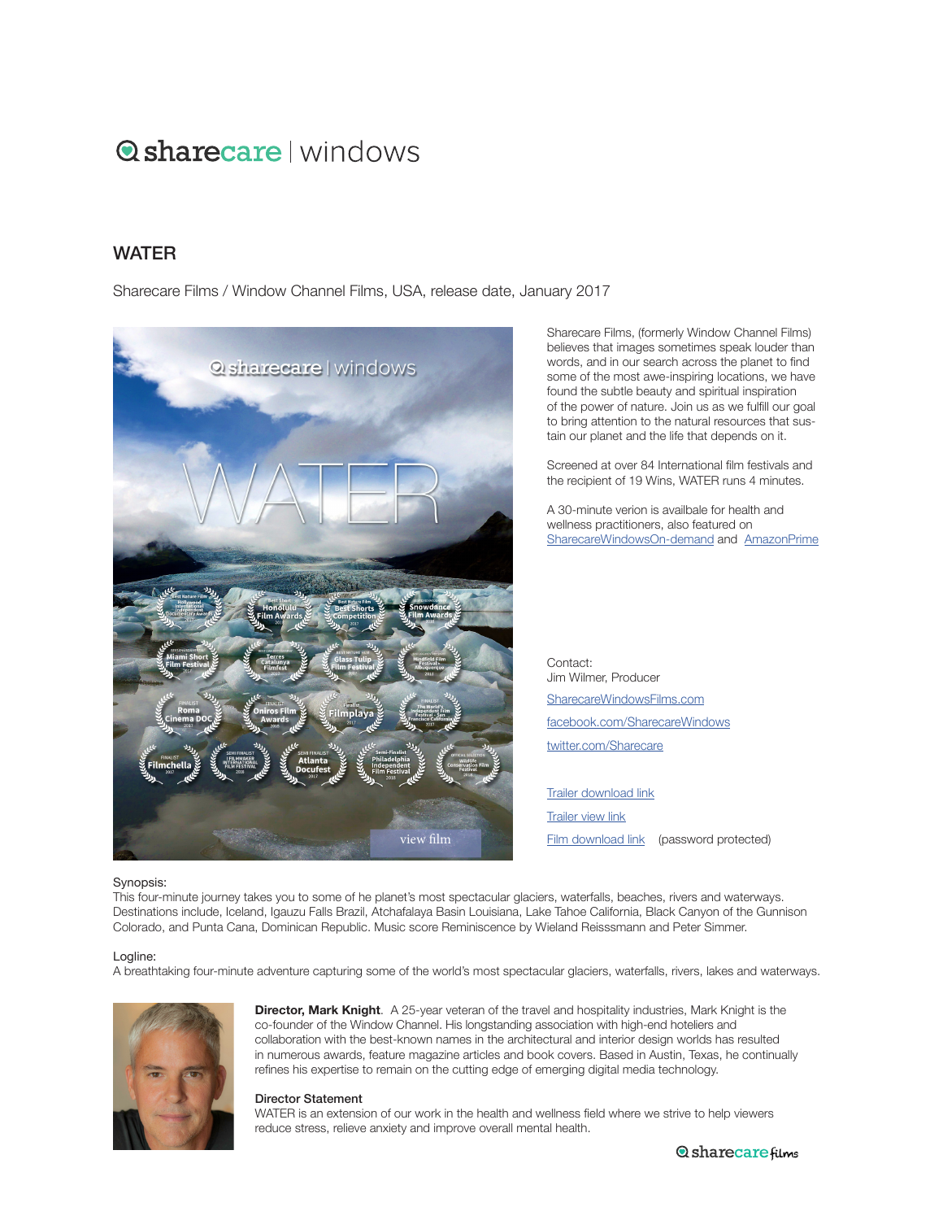# **Q** sharecare I windows

## **WATFR**

Sharecare Films / Window Channel Films, USA, release date, January 2017



Sharecare Films, (formerly Window Channel Films) believes that images sometimes speak louder than words, and in our search across the planet to find some of the most awe-inspiring locations, we have found the subtle beauty and spiritual inspiration of the power of nature. Join us as we fulfill our goal to bring attention to the natural resources that sustain our planet and the life that depends on it.

Screened at over 84 International film festivals and the recipient of 19 Wins, WATER runs 4 minutes.

A 30-minute verion is availbale for health and wellness practitioners, also featured on SharecareWindowsOn[-demand and](https://windowchannel.vhx.tv) [AmazonPrime](https://amzn.to/2WMBHaI)

Contact: Jim Wilmer, Producer SharecareWindow[sFilms.com](https://sharecarewindowsfilms.com/) [facebook.com/SharecareWindows](https://www.facebook.com/TheWindowChannel/) [twitter.com/S](https://twitter.com/windowchannel)harecare

[Trailer download link](https://player.vimeo.com/external/224649740.hd.mp4?s=436bcce45438d83b75434c7fd7884364c6d711d1&profile_id=175&download=1) [Trailer view link](https://player.vimeo.com/external/224649740.hd.mp4?s=436bcce45438d83b75434c7fd7884364c6d711d1&profile_id=175) [Film download link](https://player.vimeo.com/external/227277653.hd.mp4?s=8cc4cf28705944786458e8476056aac5608ae4bc&profile_id=175&download=1) (password protected)

#### Synopsis:

This four-minute journey takes you to some of he planet's most spectacular glaciers, waterfalls, beaches, rivers and waterways. Destinations include, Iceland, Igauzu Falls Brazil, Atchafalaya Basin Louisiana, Lake Tahoe California, Black Canyon of the Gunnison Colorado, and Punta Cana, Dominican Republic. Music score Reminiscence by Wieland Reisssmann and Peter Simmer.

#### Logline:

A breathtaking four-minute adventure capturing some of the world's most spectacular glaciers, waterfalls, rivers, lakes and waterways.



**Director, Mark Knight**. A 25-year veteran of the travel and hospitality industries, Mark Knight is the co-founder of the Window Channel. His longstanding association with high-end hoteliers and collaboration with the best-known names in the architectural and interior design worlds has resulted in numerous awards, feature magazine articles and book covers. Based in Austin, Texas, he continually refines his expertise to remain on the cutting edge of emerging digital media technology.

#### Director Statement

WATER is an extension of our work in the health and wellness field where we strive to help viewers reduce stress, relieve anxiety and improve overall mental health.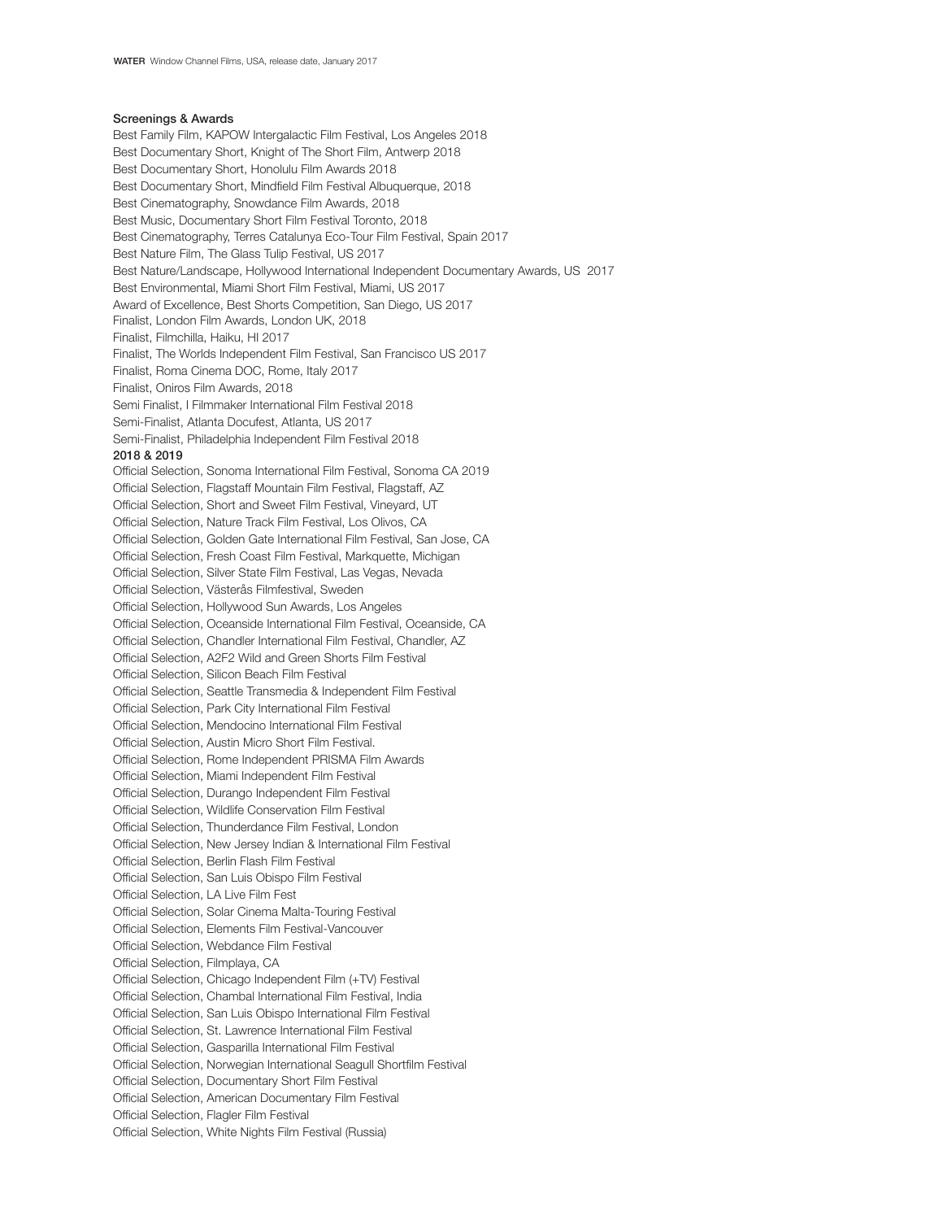### Screenings & Awards

Best Family Film, KAPOW Intergalactic Film Festival, Los Angeles 2018 Best Documentary Short, Knight of The Short Film, Antwerp 2018 Best Documentary Short, Honolulu Film Awards 2018 Best Documentary Short, Mindfield Film Festival Albuquerque, 2018 Best Cinematography, Snowdance Film Awards, 2018 Best Music, Documentary Short Film Festival Toronto, 2018 Best Cinematography, Terres Catalunya Eco-Tour Film Festival, Spain 2017 Best Nature Film, The Glass Tulip Festival, US 2017 Best Nature/Landscape, Hollywood International Independent Documentary Awards, US 2017 Best Environmental, Miami Short Film Festival, Miami, US 2017 Award of Excellence, Best Shorts Competition, San Diego, US 2017 Finalist, London Film Awards, London UK, 2018 Finalist, Filmchilla, Haiku, HI 2017 Finalist, The Worlds Independent Film Festival, San Francisco US 2017 Finalist, Roma Cinema DOC, Rome, Italy 2017 Finalist, Oniros Film Awards, 2018 Semi Finalist, I Filmmaker International Film Festival 2018 Semi-Finalist, Atlanta Docufest, Atlanta, US 2017 Semi-Finalist, Philadelphia Independent Film Festival 2018 2018 & 2019 Official Selection, Sonoma International Film Festival, Sonoma CA 2019 Official Selection, Flagstaff Mountain Film Festival, Flagstaff, AZ Official Selection, Short and Sweet Film Festival, Vineyard, UT Official Selection, Nature Track Film Festival, Los Olivos, CA Official Selection, Golden Gate International Film Festival, San Jose, CA Official Selection, Fresh Coast Film Festival, Markquette, Michigan Official Selection, Silver State Film Festival, Las Vegas, Nevada Official Selection, Västerås Filmfestival, Sweden Official Selection, Hollywood Sun Awards, Los Angeles Official Selection, Oceanside International Film Festival, Oceanside, CA Official Selection, Chandler International Film Festival, Chandler, AZ Official Selection, A2F2 Wild and Green Shorts Film Festival Official Selection, Silicon Beach Film Festival Official Selection, Seattle Transmedia & Independent Film Festival Official Selection, Park City International Film Festival Official Selection, Mendocino International Film Festival Official Selection, Austin Micro Short Film Festival. Official Selection, Rome Independent PRISMA Film Awards Official Selection, Miami Independent Film Festival Official Selection, Durango Independent Film Festival Official Selection, Wildlife Conservation Film Festival Official Selection, Thunderdance Film Festival, London Official Selection, New Jersey Indian & International Film Festival Official Selection, Berlin Flash Film Festival Official Selection, San Luis Obispo Film Festival Official Selection, LA Live Film Fest Official Selection, Solar Cinema Malta-Touring Festival Official Selection, Elements Film Festival-Vancouver Official Selection, Webdance Film Festival Official Selection, Filmplaya, CA Official Selection, Chicago Independent Film (+TV) Festival Official Selection, Chambal International Film Festival, India Official Selection, San Luis Obispo International Film Festival Official Selection, St. Lawrence International Film Festival Official Selection, Gasparilla International Film Festival Official Selection, Norwegian International Seagull Shortfilm Festival Official Selection, Documentary Short Film Festival Official Selection, American Documentary Film Festival Official Selection, Flagler Film Festival Official Selection, White Nights Film Festival (Russia)